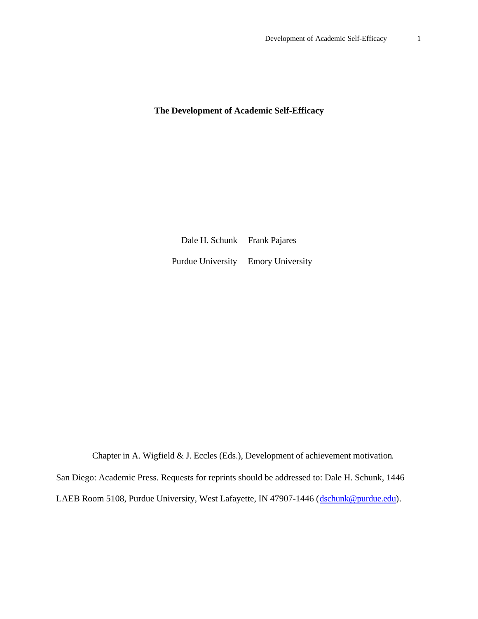### **The Development of Academic Self-Efficacy**

Dale H. Schunk Frank Pajares Purdue University Emory University

Chapter in A. Wigfield & J. Eccles (Eds.), Development of achievement motivation.

San Diego: Academic Press. Requests for reprints should be addressed to: Dale H. Schunk, 1446

LAEB Room 5108, Purdue University, West Lafayette, IN 47907-1446 (dschunk@purdue.edu).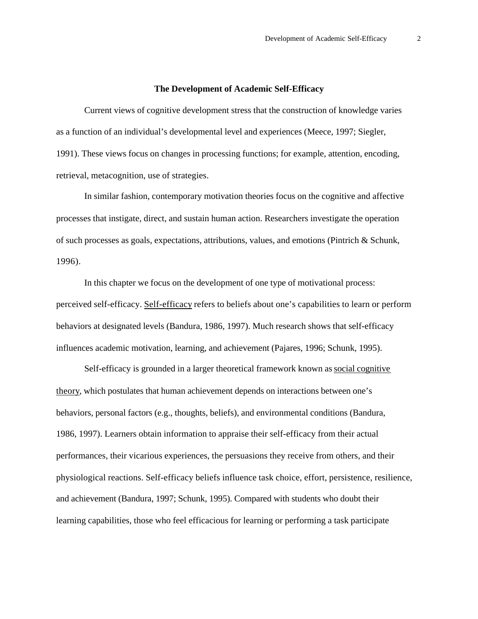#### **The Development of Academic Self-Efficacy**

Current views of cognitive development stress that the construction of knowledge varies as a function of an individual's developmental level and experiences (Meece, 1997; Siegler, 1991). These views focus on changes in processing functions; for example, attention, encoding, retrieval, metacognition, use of strategies.

In similar fashion, contemporary motivation theories focus on the cognitive and affective processes that instigate, direct, and sustain human action. Researchers investigate the operation of such processes as goals, expectations, attributions, values, and emotions (Pintrich & Schunk, 1996).

In this chapter we focus on the development of one type of motivational process: perceived self-efficacy. Self-efficacy refers to beliefs about one's capabilities to learn or perform behaviors at designated levels (Bandura, 1986, 1997). Much research shows that self-efficacy influences academic motivation, learning, and achievement (Pajares, 1996; Schunk, 1995).

Self-efficacy is grounded in a larger theoretical framework known as social cognitive theory, which postulates that human achievement depends on interactions between one's behaviors, personal factors (e.g., thoughts, beliefs), and environmental conditions (Bandura, 1986, 1997). Learners obtain information to appraise their self-efficacy from their actual performances, their vicarious experiences, the persuasions they receive from others, and their physiological reactions. Self-efficacy beliefs influence task choice, effort, persistence, resilience, and achievement (Bandura, 1997; Schunk, 1995). Compared with students who doubt their learning capabilities, those who feel efficacious for learning or performing a task participate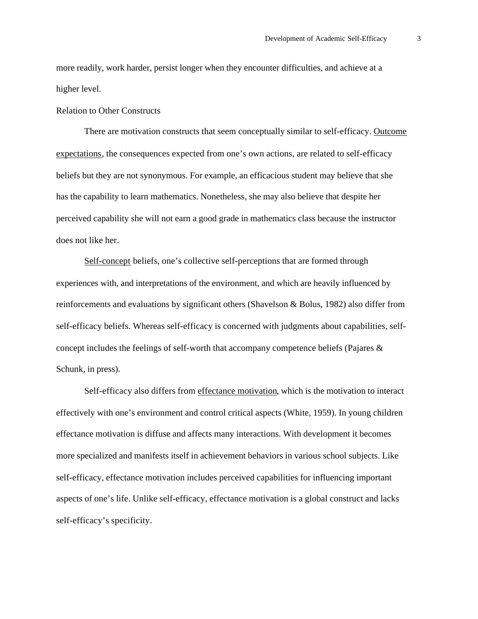more readily, work harder, persist longer when they encounter difficulties, and achieve at a higher level.

#### Relation to Other Constructs

There are motivation constructs that seem conceptually similar to self-efficacy. Outcome expectations, the consequences expected from one's own actions, are related to self-efficacy beliefs but they are not synonymous. For example, an efficacious student may believe that she has the capability to learn mathematics. Nonetheless, she may also believe that despite her perceived capability she will not earn a good grade in mathematics class because the instructor does not like her.

Self-concept beliefs, one's collective self-perceptions that are formed through experiences with, and interpretations of the environment, and which are heavily influenced by reinforcements and evaluations by significant others (Shavelson & Bolus, 1982) also differ from self-efficacy beliefs. Whereas self-efficacy is concerned with judgments about capabilities, selfconcept includes the feelings of self-worth that accompany competence beliefs (Pajares & Schunk, in press).

Self-efficacy also differs from effectance motivation, which is the motivation to interact effectively with one's environment and control critical aspects (White, 1959). In young children effectance motivation is diffuse and affects many interactions. With development it becomes more specialized and manifests itself in achievement behaviors in various school subjects. Like self-efficacy, effectance motivation includes perceived capabilities for influencing important aspects of one's life. Unlike self-efficacy, effectance motivation is a global construct and lacks self-efficacy's specificity.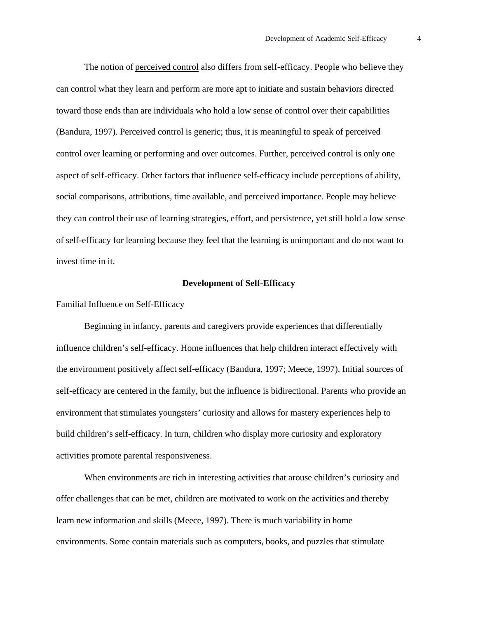The notion of perceived control also differs from self-efficacy. People who believe they can control what they learn and perform are more apt to initiate and sustain behaviors directed toward those ends than are individuals who hold a low sense of control over their capabilities (Bandura, 1997). Perceived control is generic; thus, it is meaningful to speak of perceived control over learning or performing and over outcomes. Further, perceived control is only one aspect of self-efficacy. Other factors that influence self-efficacy include perceptions of ability, social comparisons, attributions, time available, and perceived importance. People may believe they can control their use of learning strategies, effort, and persistence, yet still hold a low sense of self-efficacy for learning because they feel that the learning is unimportant and do not want to invest time in it.

#### **Development of Self-Efficacy**

Familial Influence on Self-Efficacy

Beginning in infancy, parents and caregivers provide experiences that differentially influence children's self-efficacy. Home influences that help children interact effectively with the environment positively affect self-efficacy (Bandura, 1997; Meece, 1997). Initial sources of self-efficacy are centered in the family, but the influence is bidirectional. Parents who provide an environment that stimulates youngsters' curiosity and allows for mastery experiences help to build children's self-efficacy. In turn, children who display more curiosity and exploratory activities promote parental responsiveness.

When environments are rich in interesting activities that arouse children's curiosity and offer challenges that can be met, children are motivated to work on the activities and thereby learn new information and skills (Meece, 1997). There is much variability in home environments. Some contain materials such as computers, books, and puzzles that stimulate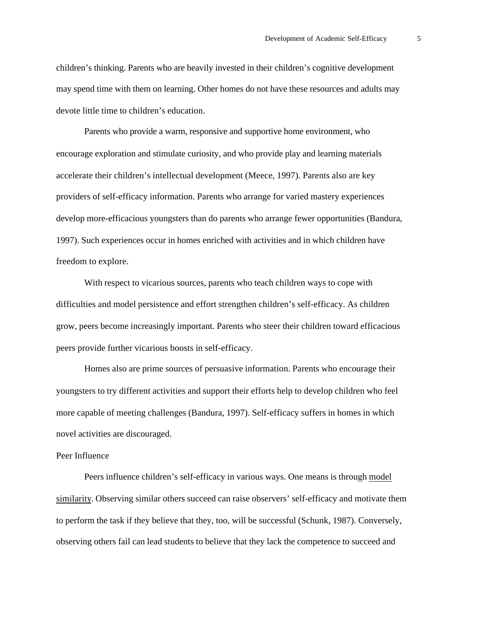children's thinking. Parents who are heavily invested in their children's cognitive development may spend time with them on learning. Other homes do not have these resources and adults may devote little time to children's education.

Parents who provide a warm, responsive and supportive home environment, who encourage exploration and stimulate curiosity, and who provide play and learning materials accelerate their children's intellectual development (Meece, 1997). Parents also are key providers of self-efficacy information. Parents who arrange for varied mastery experiences develop more-efficacious youngsters than do parents who arrange fewer opportunities (Bandura, 1997). Such experiences occur in homes enriched with activities and in which children have freedom to explore.

With respect to vicarious sources, parents who teach children ways to cope with difficulties and model persistence and effort strengthen children's self-efficacy. As children grow, peers become increasingly important. Parents who steer their children toward efficacious peers provide further vicarious boosts in self-efficacy.

Homes also are prime sources of persuasive information. Parents who encourage their youngsters to try different activities and support their efforts help to develop children who feel more capable of meeting challenges (Bandura, 1997). Self-efficacy suffers in homes in which novel activities are discouraged.

#### Peer Influence

Peers influence children's self-efficacy in various ways. One means is through model similarity. Observing similar others succeed can raise observers' self-efficacy and motivate them to perform the task if they believe that they, too, will be successful (Schunk, 1987). Conversely, observing others fail can lead students to believe that they lack the competence to succeed and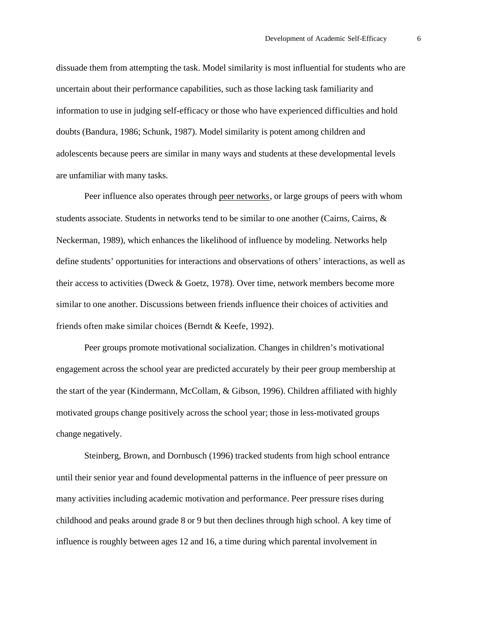dissuade them from attempting the task. Model similarity is most influential for students who are uncertain about their performance capabilities, such as those lacking task familiarity and information to use in judging self-efficacy or those who have experienced difficulties and hold doubts (Bandura, 1986; Schunk, 1987). Model similarity is potent among children and adolescents because peers are similar in many ways and students at these developmental levels are unfamiliar with many tasks.

Peer influence also operates through peer networks, or large groups of peers with whom students associate. Students in networks tend to be similar to one another (Cairns, Cairns, & Neckerman, 1989), which enhances the likelihood of influence by modeling. Networks help define students' opportunities for interactions and observations of others' interactions, as well as their access to activities (Dweck & Goetz, 1978). Over time, network members become more similar to one another. Discussions between friends influence their choices of activities and friends often make similar choices (Berndt & Keefe, 1992).

Peer groups promote motivational socialization. Changes in children's motivational engagement across the school year are predicted accurately by their peer group membership at the start of the year (Kindermann, McCollam, & Gibson, 1996). Children affiliated with highly motivated groups change positively across the school year; those in less-motivated groups change negatively.

Steinberg, Brown, and Dornbusch (1996) tracked students from high school entrance until their senior year and found developmental patterns in the influence of peer pressure on many activities including academic motivation and performance. Peer pressure rises during childhood and peaks around grade 8 or 9 but then declines through high school. A key time of influence is roughly between ages 12 and 16, a time during which parental involvement in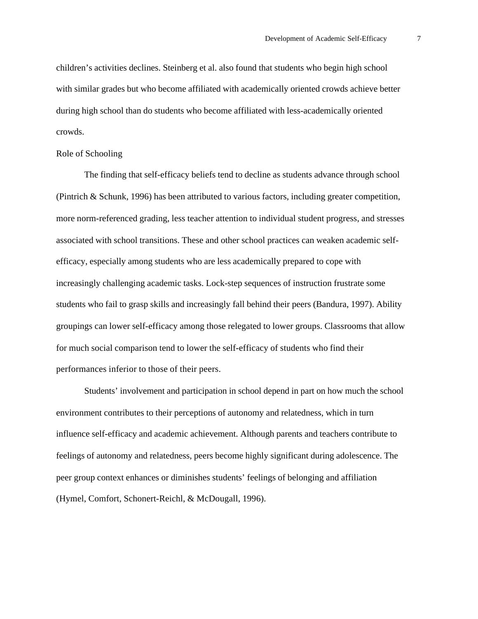children's activities declines. Steinberg et al. also found that students who begin high school with similar grades but who become affiliated with academically oriented crowds achieve better during high school than do students who become affiliated with less-academically oriented crowds.

#### Role of Schooling

The finding that self-efficacy beliefs tend to decline as students advance through school (Pintrich & Schunk, 1996) has been attributed to various factors, including greater competition, more norm-referenced grading, less teacher attention to individual student progress, and stresses associated with school transitions. These and other school practices can weaken academic selfefficacy, especially among students who are less academically prepared to cope with increasingly challenging academic tasks. Lock-step sequences of instruction frustrate some students who fail to grasp skills and increasingly fall behind their peers (Bandura, 1997). Ability groupings can lower self-efficacy among those relegated to lower groups. Classrooms that allow for much social comparison tend to lower the self-efficacy of students who find their performances inferior to those of their peers.

Students' involvement and participation in school depend in part on how much the school environment contributes to their perceptions of autonomy and relatedness, which in turn influence self-efficacy and academic achievement. Although parents and teachers contribute to feelings of autonomy and relatedness, peers become highly significant during adolescence. The peer group context enhances or diminishes students' feelings of belonging and affiliation (Hymel, Comfort, Schonert-Reichl, & McDougall, 1996).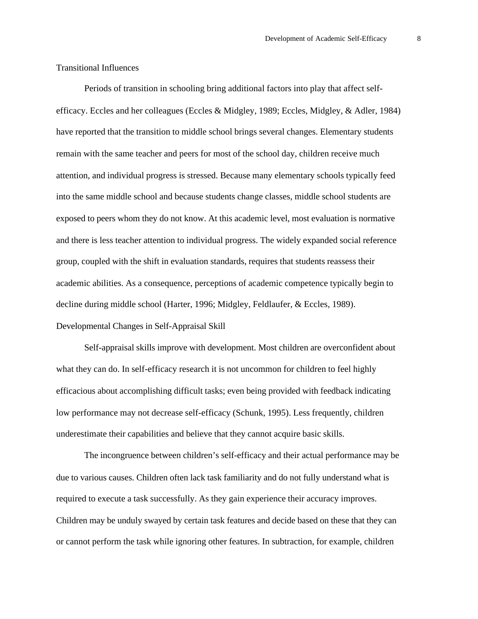#### Transitional Influences

Periods of transition in schooling bring additional factors into play that affect selfefficacy. Eccles and her colleagues (Eccles & Midgley, 1989; Eccles, Midgley, & Adler, 1984) have reported that the transition to middle school brings several changes. Elementary students remain with the same teacher and peers for most of the school day, children receive much attention, and individual progress is stressed. Because many elementary schools typically feed into the same middle school and because students change classes, middle school students are exposed to peers whom they do not know. At this academic level, most evaluation is normative and there is less teacher attention to individual progress. The widely expanded social reference group, coupled with the shift in evaluation standards, requires that students reassess their academic abilities. As a consequence, perceptions of academic competence typically begin to decline during middle school (Harter, 1996; Midgley, Feldlaufer, & Eccles, 1989). Developmental Changes in Self-Appraisal Skill

Self-appraisal skills improve with development. Most children are overconfident about what they can do. In self-efficacy research it is not uncommon for children to feel highly efficacious about accomplishing difficult tasks; even being provided with feedback indicating low performance may not decrease self-efficacy (Schunk, 1995). Less frequently, children underestimate their capabilities and believe that they cannot acquire basic skills.

The incongruence between children's self-efficacy and their actual performance may be due to various causes. Children often lack task familiarity and do not fully understand what is required to execute a task successfully. As they gain experience their accuracy improves. Children may be unduly swayed by certain task features and decide based on these that they can or cannot perform the task while ignoring other features. In subtraction, for example, children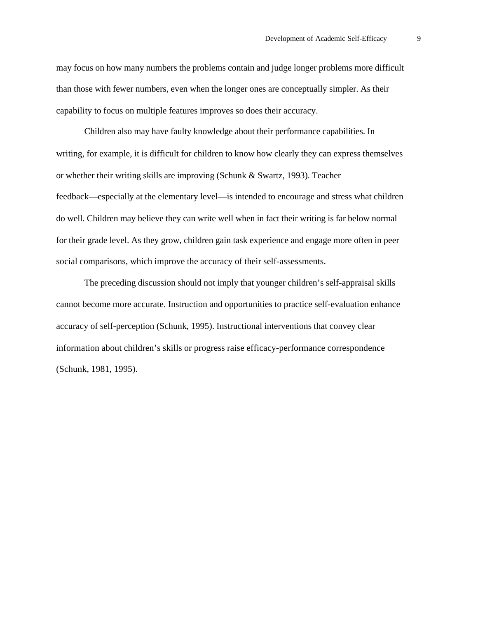may focus on how many numbers the problems contain and judge longer problems more difficult than those with fewer numbers, even when the longer ones are conceptually simpler. As their capability to focus on multiple features improves so does their accuracy.

Children also may have faulty knowledge about their performance capabilities. In writing, for example, it is difficult for children to know how clearly they can express themselves or whether their writing skills are improving (Schunk & Swartz, 1993). Teacher feedback—especially at the elementary level—is intended to encourage and stress what children do well. Children may believe they can write well when in fact their writing is far below normal for their grade level. As they grow, children gain task experience and engage more often in peer social comparisons, which improve the accuracy of their self-assessments.

The preceding discussion should not imply that younger children's self-appraisal skills cannot become more accurate. Instruction and opportunities to practice self-evaluation enhance accuracy of self-perception (Schunk, 1995). Instructional interventions that convey clear information about children's skills or progress raise efficacy-performance correspondence (Schunk, 1981, 1995).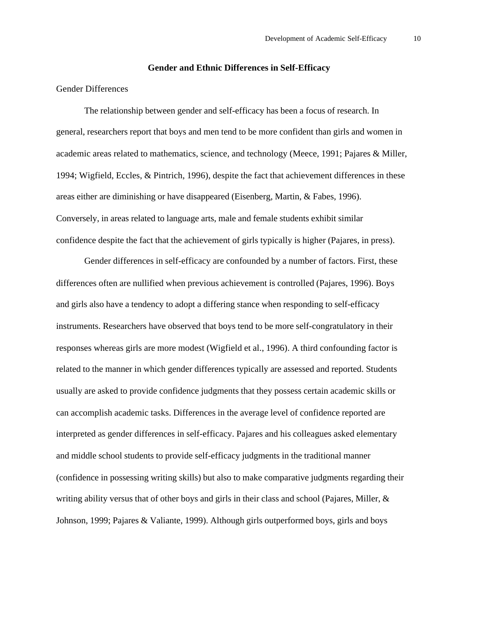#### **Gender and Ethnic Differences in Self-Efficacy**

### Gender Differences

The relationship between gender and self-efficacy has been a focus of research. In general, researchers report that boys and men tend to be more confident than girls and women in academic areas related to mathematics, science, and technology (Meece, 1991; Pajares & Miller, 1994; Wigfield, Eccles, & Pintrich, 1996), despite the fact that achievement differences in these areas either are diminishing or have disappeared (Eisenberg, Martin, & Fabes, 1996). Conversely, in areas related to language arts, male and female students exhibit similar confidence despite the fact that the achievement of girls typically is higher (Pajares, in press).

Gender differences in self-efficacy are confounded by a number of factors. First, these differences often are nullified when previous achievement is controlled (Pajares, 1996). Boys and girls also have a tendency to adopt a differing stance when responding to self-efficacy instruments. Researchers have observed that boys tend to be more self-congratulatory in their responses whereas girls are more modest (Wigfield et al., 1996). A third confounding factor is related to the manner in which gender differences typically are assessed and reported. Students usually are asked to provide confidence judgments that they possess certain academic skills or can accomplish academic tasks. Differences in the average level of confidence reported are interpreted as gender differences in self-efficacy. Pajares and his colleagues asked elementary and middle school students to provide self-efficacy judgments in the traditional manner (confidence in possessing writing skills) but also to make comparative judgments regarding their writing ability versus that of other boys and girls in their class and school (Pajares, Miller, & Johnson, 1999; Pajares & Valiante, 1999). Although girls outperformed boys, girls and boys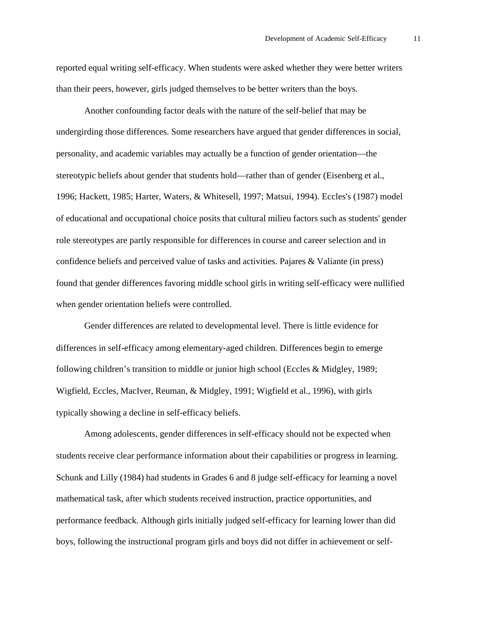reported equal writing self-efficacy. When students were asked whether they were better writers than their peers, however, girls judged themselves to be better writers than the boys.

Another confounding factor deals with the nature of the self-belief that may be undergirding those differences. Some researchers have argued that gender differences in social, personality, and academic variables may actually be a function of gender orientation—the stereotypic beliefs about gender that students hold—rather than of gender (Eisenberg et al., 1996; Hackett, 1985; Harter, Waters, & Whitesell, 1997; Matsui, 1994). Eccles's (1987) model of educational and occupational choice posits that cultural milieu factors such as students' gender role stereotypes are partly responsible for differences in course and career selection and in confidence beliefs and perceived value of tasks and activities. Pajares & Valiante (in press) found that gender differences favoring middle school girls in writing self-efficacy were nullified when gender orientation beliefs were controlled.

Gender differences are related to developmental level. There is little evidence for differences in self-efficacy among elementary-aged children. Differences begin to emerge following children's transition to middle or junior high school (Eccles & Midgley, 1989; Wigfield, Eccles, MacIver, Reuman, & Midgley, 1991; Wigfield et al., 1996), with girls typically showing a decline in self-efficacy beliefs.

Among adolescents, gender differences in self-efficacy should not be expected when students receive clear performance information about their capabilities or progress in learning. Schunk and Lilly (1984) had students in Grades 6 and 8 judge self-efficacy for learning a novel mathematical task, after which students received instruction, practice opportunities, and performance feedback. Although girls initially judged self-efficacy for learning lower than did boys, following the instructional program girls and boys did not differ in achievement or self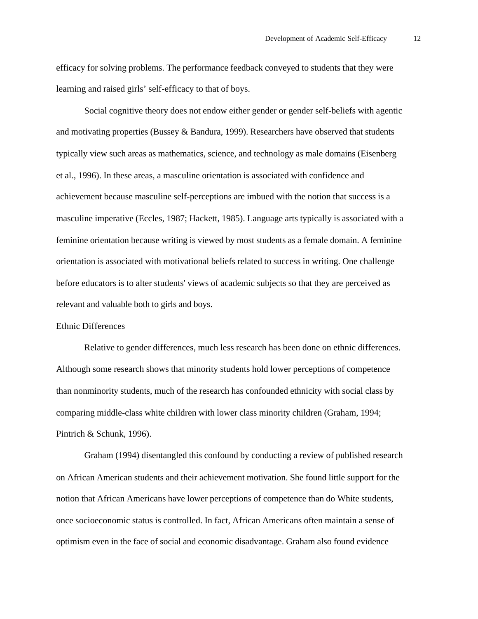efficacy for solving problems. The performance feedback conveyed to students that they were learning and raised girls' self-efficacy to that of boys.

Social cognitive theory does not endow either gender or gender self-beliefs with agentic and motivating properties (Bussey & Bandura, 1999). Researchers have observed that students typically view such areas as mathematics, science, and technology as male domains (Eisenberg et al., 1996). In these areas, a masculine orientation is associated with confidence and achievement because masculine self-perceptions are imbued with the notion that success is a masculine imperative (Eccles, 1987; Hackett, 1985). Language arts typically is associated with a feminine orientation because writing is viewed by most students as a female domain. A feminine orientation is associated with motivational beliefs related to success in writing. One challenge before educators is to alter students' views of academic subjects so that they are perceived as relevant and valuable both to girls and boys.

#### Ethnic Differences

Relative to gender differences, much less research has been done on ethnic differences. Although some research shows that minority students hold lower perceptions of competence than nonminority students, much of the research has confounded ethnicity with social class by comparing middle-class white children with lower class minority children (Graham, 1994; Pintrich & Schunk, 1996).

Graham (1994) disentangled this confound by conducting a review of published research on African American students and their achievement motivation. She found little support for the notion that African Americans have lower perceptions of competence than do White students, once socioeconomic status is controlled. In fact, African Americans often maintain a sense of optimism even in the face of social and economic disadvantage. Graham also found evidence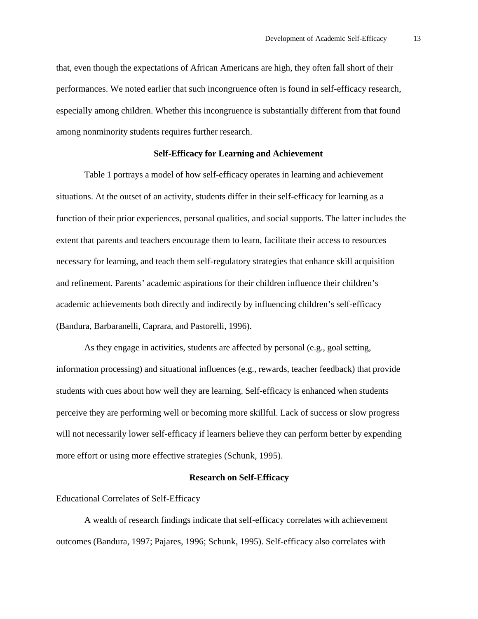that, even though the expectations of African Americans are high, they often fall short of their performances. We noted earlier that such incongruence often is found in self-efficacy research, especially among children. Whether this incongruence is substantially different from that found among nonminority students requires further research.

#### **Self-Efficacy for Learning and Achievement**

Table 1 portrays a model of how self-efficacy operates in learning and achievement situations. At the outset of an activity, students differ in their self-efficacy for learning as a function of their prior experiences, personal qualities, and social supports. The latter includes the extent that parents and teachers encourage them to learn, facilitate their access to resources necessary for learning, and teach them self-regulatory strategies that enhance skill acquisition and refinement. Parents' academic aspirations for their children influence their children's academic achievements both directly and indirectly by influencing children's self-efficacy (Bandura, Barbaranelli, Caprara, and Pastorelli, 1996).

As they engage in activities, students are affected by personal (e.g., goal setting, information processing) and situational influences (e.g., rewards, teacher feedback) that provide students with cues about how well they are learning. Self-efficacy is enhanced when students perceive they are performing well or becoming more skillful. Lack of success or slow progress will not necessarily lower self-efficacy if learners believe they can perform better by expending more effort or using more effective strategies (Schunk, 1995).

#### **Research on Self-Efficacy**

Educational Correlates of Self-Efficacy

A wealth of research findings indicate that self-efficacy correlates with achievement outcomes (Bandura, 1997; Pajares, 1996; Schunk, 1995). Self-efficacy also correlates with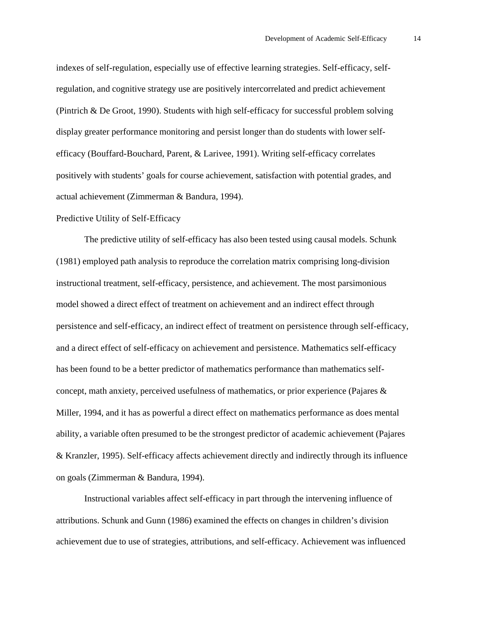indexes of self-regulation, especially use of effective learning strategies. Self-efficacy, selfregulation, and cognitive strategy use are positively intercorrelated and predict achievement (Pintrich & De Groot, 1990). Students with high self-efficacy for successful problem solving display greater performance monitoring and persist longer than do students with lower selfefficacy (Bouffard-Bouchard, Parent, & Larivee, 1991). Writing self-efficacy correlates positively with students' goals for course achievement, satisfaction with potential grades, and actual achievement (Zimmerman & Bandura, 1994).

#### Predictive Utility of Self-Efficacy

The predictive utility of self-efficacy has also been tested using causal models. Schunk (1981) employed path analysis to reproduce the correlation matrix comprising long-division instructional treatment, self-efficacy, persistence, and achievement. The most parsimonious model showed a direct effect of treatment on achievement and an indirect effect through persistence and self-efficacy, an indirect effect of treatment on persistence through self-efficacy, and a direct effect of self-efficacy on achievement and persistence. Mathematics self-efficacy has been found to be a better predictor of mathematics performance than mathematics selfconcept, math anxiety, perceived usefulness of mathematics, or prior experience (Pajares & Miller, 1994, and it has as powerful a direct effect on mathematics performance as does mental ability, a variable often presumed to be the strongest predictor of academic achievement (Pajares & Kranzler, 1995). Self-efficacy affects achievement directly and indirectly through its influence on goals (Zimmerman & Bandura, 1994).

Instructional variables affect self-efficacy in part through the intervening influence of attributions. Schunk and Gunn (1986) examined the effects on changes in children's division achievement due to use of strategies, attributions, and self-efficacy. Achievement was influenced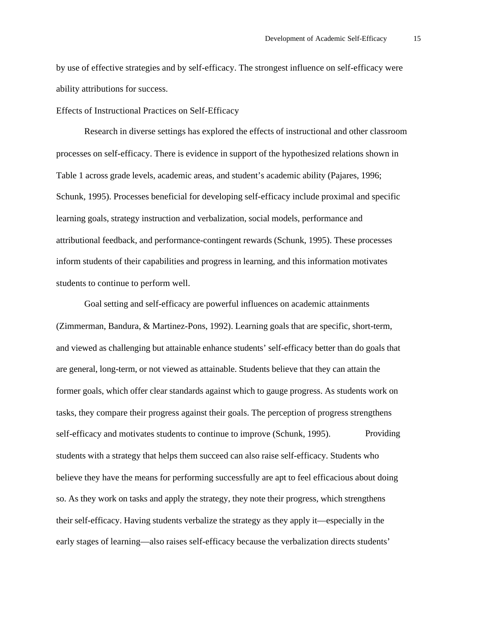by use of effective strategies and by self-efficacy. The strongest influence on self-efficacy were ability attributions for success.

Effects of Instructional Practices on Self-Efficacy

Research in diverse settings has explored the effects of instructional and other classroom processes on self-efficacy. There is evidence in support of the hypothesized relations shown in Table 1 across grade levels, academic areas, and student's academic ability (Pajares, 1996; Schunk, 1995). Processes beneficial for developing self-efficacy include proximal and specific learning goals, strategy instruction and verbalization, social models, performance and attributional feedback, and performance-contingent rewards (Schunk, 1995). These processes inform students of their capabilities and progress in learning, and this information motivates students to continue to perform well.

Goal setting and self-efficacy are powerful influences on academic attainments (Zimmerman, Bandura, & Martinez-Pons, 1992). Learning goals that are specific, short-term, and viewed as challenging but attainable enhance students' self-efficacy better than do goals that are general, long-term, or not viewed as attainable. Students believe that they can attain the former goals, which offer clear standards against which to gauge progress. As students work on tasks, they compare their progress against their goals. The perception of progress strengthens self-efficacy and motivates students to continue to improve (Schunk, 1995). Providing students with a strategy that helps them succeed can also raise self-efficacy. Students who believe they have the means for performing successfully are apt to feel efficacious about doing so. As they work on tasks and apply the strategy, they note their progress, which strengthens their self-efficacy. Having students verbalize the strategy as they apply it—especially in the early stages of learning—also raises self-efficacy because the verbalization directs students'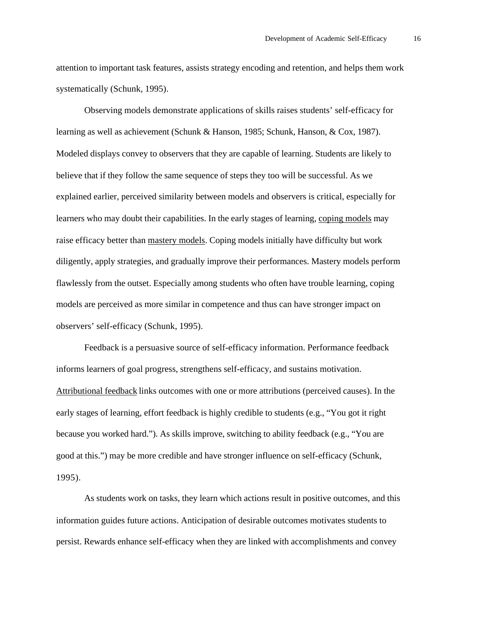attention to important task features, assists strategy encoding and retention, and helps them work systematically (Schunk, 1995).

Observing models demonstrate applications of skills raises students' self-efficacy for learning as well as achievement (Schunk & Hanson, 1985; Schunk, Hanson, & Cox, 1987). Modeled displays convey to observers that they are capable of learning. Students are likely to believe that if they follow the same sequence of steps they too will be successful. As we explained earlier, perceived similarity between models and observers is critical, especially for learners who may doubt their capabilities. In the early stages of learning, coping models may raise efficacy better than mastery models. Coping models initially have difficulty but work diligently, apply strategies, and gradually improve their performances. Mastery models perform flawlessly from the outset. Especially among students who often have trouble learning, coping models are perceived as more similar in competence and thus can have stronger impact on observers' self-efficacy (Schunk, 1995).

Feedback is a persuasive source of self-efficacy information. Performance feedback informs learners of goal progress, strengthens self-efficacy, and sustains motivation. Attributional feedback links outcomes with one or more attributions (perceived causes). In the early stages of learning, effort feedback is highly credible to students (e.g., "You got it right because you worked hard."). As skills improve, switching to ability feedback (e.g., "You are good at this.") may be more credible and have stronger influence on self-efficacy (Schunk, 1995).

As students work on tasks, they learn which actions result in positive outcomes, and this information guides future actions. Anticipation of desirable outcomes motivates students to persist. Rewards enhance self-efficacy when they are linked with accomplishments and convey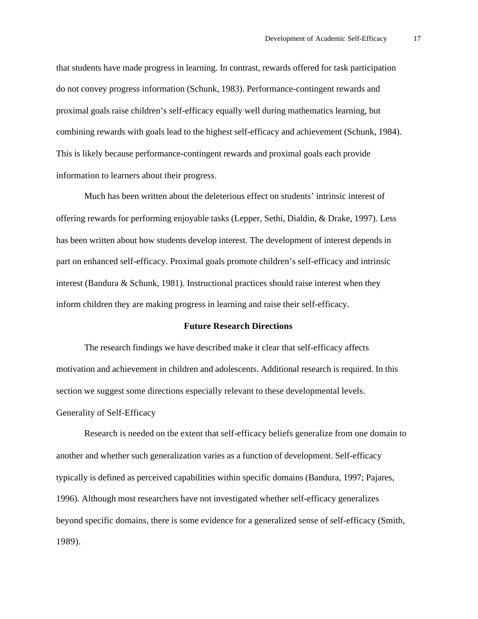that students have made progress in learning. In contrast, rewards offered for task participation do not convey progress information (Schunk, 1983). Performance-contingent rewards and proximal goals raise children's self-efficacy equally well during mathematics learning, but combining rewards with goals lead to the highest self-efficacy and achievement (Schunk, 1984). This is likely because performance-contingent rewards and proximal goals each provide information to learners about their progress.

Much has been written about the deleterious effect on students' intrinsic interest of offering rewards for performing enjoyable tasks (Lepper, Sethi, Dialdin, & Drake, 1997). Less has been written about how students develop interest. The development of interest depends in part on enhanced self-efficacy. Proximal goals promote children's self-efficacy and intrinsic interest (Bandura & Schunk, 1981). Instructional practices should raise interest when they inform children they are making progress in learning and raise their self-efficacy.

#### **Future Research Directions**

The research findings we have described make it clear that self-efficacy affects motivation and achievement in children and adolescents. Additional research is required. In this section we suggest some directions especially relevant to these developmental levels. Generality of Self-Efficacy

Research is needed on the extent that self-efficacy beliefs generalize from one domain to another and whether such generalization varies as a function of development. Self-efficacy typically is defined as perceived capabilities within specific domains (Bandura, 1997; Pajares, 1996). Although most researchers have not investigated whether self-efficacy generalizes beyond specific domains, there is some evidence for a generalized sense of self-efficacy (Smith, 1989).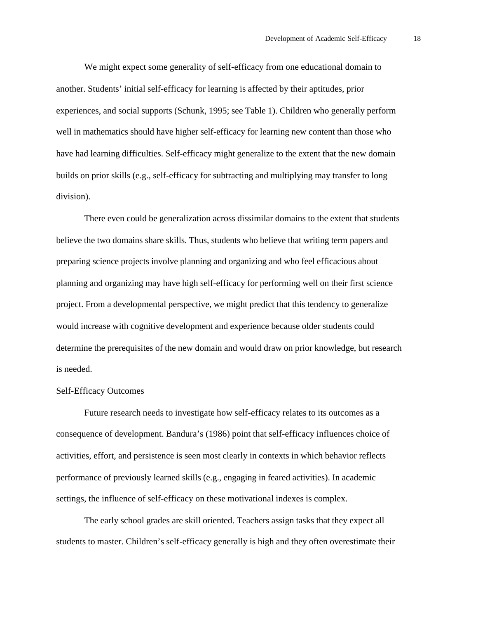We might expect some generality of self-efficacy from one educational domain to another. Students' initial self-efficacy for learning is affected by their aptitudes, prior experiences, and social supports (Schunk, 1995; see Table 1). Children who generally perform well in mathematics should have higher self-efficacy for learning new content than those who have had learning difficulties. Self-efficacy might generalize to the extent that the new domain builds on prior skills (e.g., self-efficacy for subtracting and multiplying may transfer to long division).

There even could be generalization across dissimilar domains to the extent that students believe the two domains share skills. Thus, students who believe that writing term papers and preparing science projects involve planning and organizing and who feel efficacious about planning and organizing may have high self-efficacy for performing well on their first science project. From a developmental perspective, we might predict that this tendency to generalize would increase with cognitive development and experience because older students could determine the prerequisites of the new domain and would draw on prior knowledge, but research is needed.

### Self-Efficacy Outcomes

Future research needs to investigate how self-efficacy relates to its outcomes as a consequence of development. Bandura's (1986) point that self-efficacy influences choice of activities, effort, and persistence is seen most clearly in contexts in which behavior reflects performance of previously learned skills (e.g., engaging in feared activities). In academic settings, the influence of self-efficacy on these motivational indexes is complex.

The early school grades are skill oriented. Teachers assign tasks that they expect all students to master. Children's self-efficacy generally is high and they often overestimate their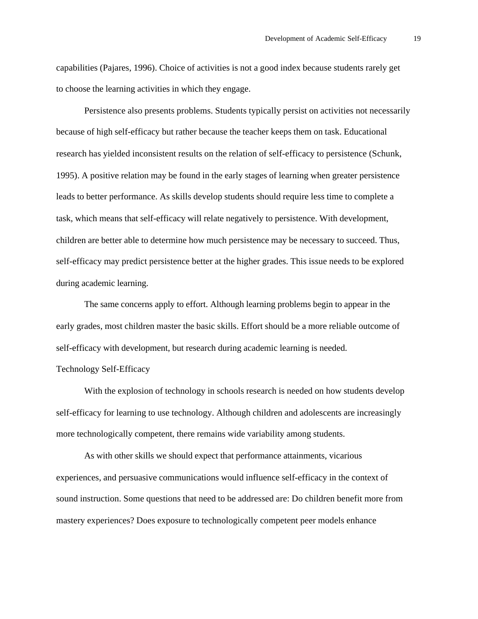capabilities (Pajares, 1996). Choice of activities is not a good index because students rarely get to choose the learning activities in which they engage.

Persistence also presents problems. Students typically persist on activities not necessarily because of high self-efficacy but rather because the teacher keeps them on task. Educational research has yielded inconsistent results on the relation of self-efficacy to persistence (Schunk, 1995). A positive relation may be found in the early stages of learning when greater persistence leads to better performance. As skills develop students should require less time to complete a task, which means that self-efficacy will relate negatively to persistence. With development, children are better able to determine how much persistence may be necessary to succeed. Thus, self-efficacy may predict persistence better at the higher grades. This issue needs to be explored during academic learning.

The same concerns apply to effort. Although learning problems begin to appear in the early grades, most children master the basic skills. Effort should be a more reliable outcome of self-efficacy with development, but research during academic learning is needed. Technology Self-Efficacy

With the explosion of technology in schools research is needed on how students develop self-efficacy for learning to use technology. Although children and adolescents are increasingly more technologically competent, there remains wide variability among students.

As with other skills we should expect that performance attainments, vicarious experiences, and persuasive communications would influence self-efficacy in the context of sound instruction. Some questions that need to be addressed are: Do children benefit more from mastery experiences? Does exposure to technologically competent peer models enhance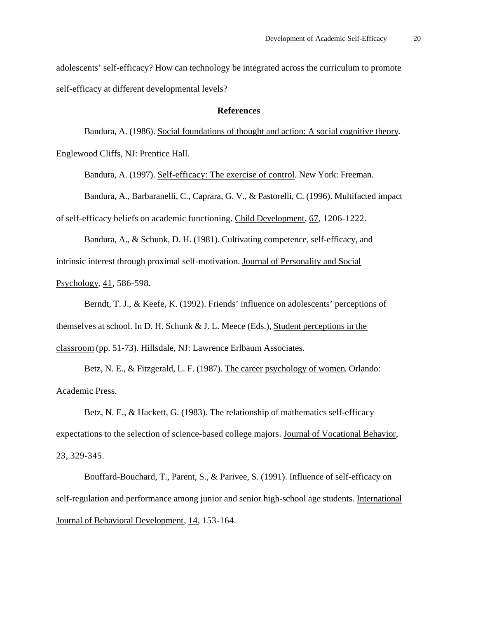adolescents' self-efficacy? How can technology be integrated across the curriculum to promote self-efficacy at different developmental levels?

#### **References**

Bandura, A. (1986). Social foundations of thought and action: A social cognitive theory. Englewood Cliffs, NJ: Prentice Hall.

Bandura, A. (1997). Self-efficacy: The exercise of control. New York: Freeman.

Bandura, A., Barbaranelli, C., Caprara, G. V., & Pastorelli, C. (1996). Multifacted impact

of self-efficacy beliefs on academic functioning. Child Development, 67, 1206-1222.

Bandura, A., & Schunk, D. H. (1981). Cultivating competence, self-efficacy, and intrinsic interest through proximal self-motivation. Journal of Personality and Social Psychology, 41, 586-598.

Berndt, T. J., & Keefe, K. (1992). Friends' influence on adolescents' perceptions of themselves at school. In D. H. Schunk & J. L. Meece (Eds.), Student perceptions in the classroom (pp. 51-73). Hillsdale, NJ: Lawrence Erlbaum Associates.

Betz, N. E., & Fitzgerald, L. F. (1987). The career psychology of women. Orlando: Academic Press.

Betz, N. E., & Hackett, G. (1983). The relationship of mathematics self-efficacy expectations to the selection of science-based college majors. Journal of Vocational Behavior, 23, 329-345.

Bouffard-Bouchard, T., Parent, S., & Parivee, S. (1991). Influence of self-efficacy on self-regulation and performance among junior and senior high-school age students. International Journal of Behavioral Development, 14, 153-164.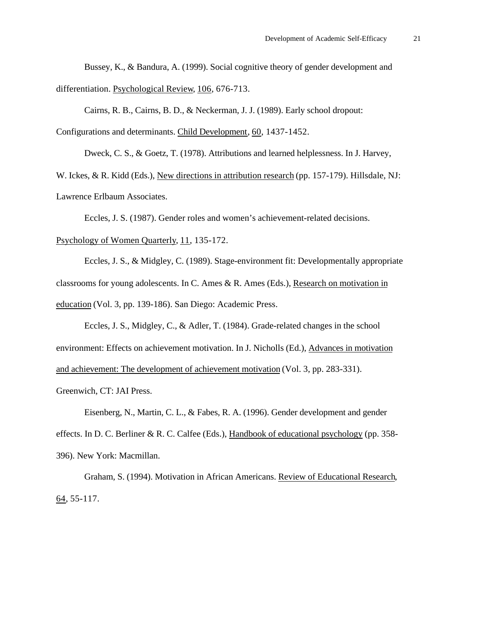Bussey, K., & Bandura, A. (1999). Social cognitive theory of gender development and differentiation. Psychological Review, 106, 676-713.

Cairns, R. B., Cairns, B. D., & Neckerman, J. J. (1989). Early school dropout: Configurations and determinants. Child Development, 60, 1437-1452.

Dweck, C. S., & Goetz, T. (1978). Attributions and learned helplessness. In J. Harvey,

W. Ickes, & R. Kidd (Eds.), New directions in attribution research (pp. 157-179). Hillsdale, NJ: Lawrence Erlbaum Associates.

Eccles, J. S. (1987). Gender roles and women's achievement-related decisions.

Psychology of Women Quarterly, 11, 135-172.

Eccles, J. S., & Midgley, C. (1989). Stage-environment fit: Developmentally appropriate classrooms for young adolescents. In C. Ames & R. Ames (Eds.), Research on motivation in education (Vol. 3, pp. 139-186). San Diego: Academic Press.

Eccles, J. S., Midgley, C., & Adler, T. (1984). Grade-related changes in the school environment: Effects on achievement motivation. In J. Nicholls (Ed.), Advances in motivation and achievement: The development of achievement motivation (Vol. 3, pp. 283-331). Greenwich, CT: JAI Press.

Eisenberg, N., Martin, C. L., & Fabes, R. A. (1996). Gender development and gender effects. In D. C. Berliner & R. C. Calfee (Eds.), Handbook of educational psychology (pp. 358- 396). New York: Macmillan.

Graham, S. (1994). Motivation in African Americans. Review of Educational Research,  $64, 55-117.$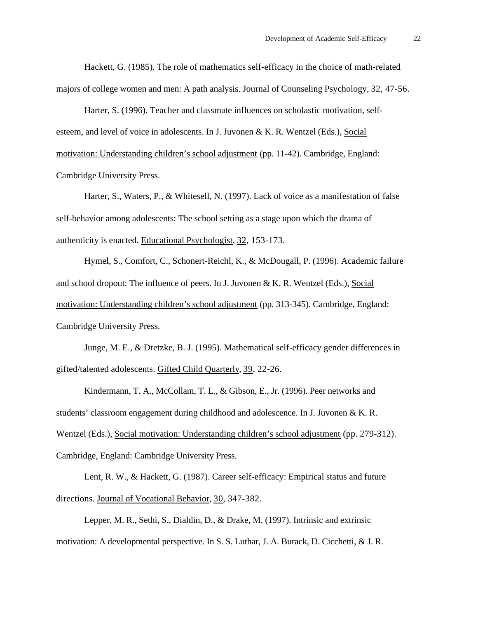Hackett, G. (1985). The role of mathematics self-efficacy in the choice of math-related majors of college women and men: A path analysis. Journal of Counseling Psychology, 32, 47-56.

Harter, S. (1996). Teacher and classmate influences on scholastic motivation, selfesteem, and level of voice in adolescents. In J. Juvonen & K. R. Wentzel (Eds.), Social motivation: Understanding children's school adjustment (pp. 11-42). Cambridge, England: Cambridge University Press.

Harter, S., Waters, P., & Whitesell, N. (1997). Lack of voice as a manifestation of false self-behavior among adolescents: The school setting as a stage upon which the drama of authenticity is enacted. Educational Psychologist, 32, 153-173.

Hymel, S., Comfort, C., Schonert-Reichl, K., & McDougall, P. (1996). Academic failure and school dropout: The influence of peers. In J. Juvonen & K. R. Wentzel (Eds.), Social motivation: Understanding children's school adjustment (pp. 313-345). Cambridge, England: Cambridge University Press.

Junge, M. E., & Dretzke, B. J. (1995). Mathematical self-efficacy gender differences in gifted/talented adolescents. Gifted Child Quarterly, 39, 22-26.

Kindermann, T. A., McCollam, T. L., & Gibson, E., Jr. (1996). Peer networks and students' classroom engagement during childhood and adolescence. In J. Juvonen & K. R. Wentzel (Eds.), Social motivation: Understanding children's school adjustment (pp. 279-312). Cambridge, England: Cambridge University Press.

Lent, R. W., & Hackett, G. (1987). Career self-efficacy: Empirical status and future directions. Journal of Vocational Behavior, 30, 347-382.

Lepper, M. R., Sethi, S., Dialdin, D., & Drake, M. (1997). Intrinsic and extrinsic motivation: A developmental perspective. In S. S. Luthar, J. A. Burack, D. Cicchetti, & J. R.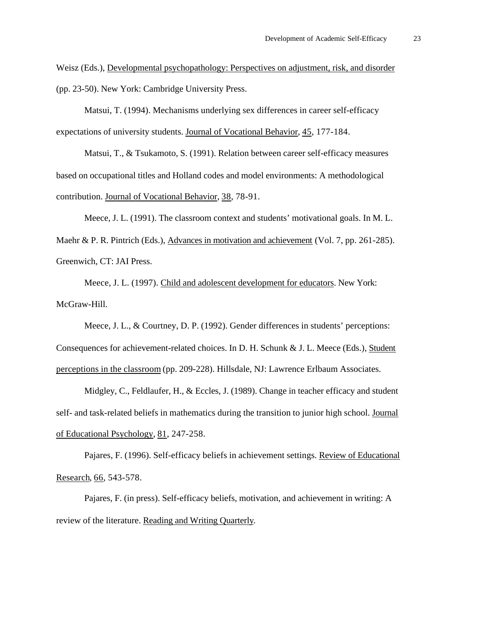Weisz (Eds.), Developmental psychopathology: Perspectives on adjustment, risk, and disorder (pp. 23-50). New York: Cambridge University Press.

Matsui, T. (1994). Mechanisms underlying sex differences in career self-efficacy expectations of university students. Journal of Vocational Behavior, 45, 177-184.

Matsui, T., & Tsukamoto, S. (1991). Relation between career self-efficacy measures based on occupational titles and Holland codes and model environments: A methodological contribution. Journal of Vocational Behavior, 38, 78-91.

Meece, J. L. (1991). The classroom context and students' motivational goals. In M. L.

Maehr & P. R. Pintrich (Eds.), Advances in motivation and achievement (Vol. 7, pp. 261-285). Greenwich, CT: JAI Press.

Meece, J. L. (1997). Child and adolescent development for educators. New York: McGraw-Hill.

Meece, J. L., & Courtney, D. P. (1992). Gender differences in students' perceptions: Consequences for achievement-related choices. In D. H. Schunk & J. L. Meece (Eds.), Student perceptions in the classroom (pp. 209-228). Hillsdale, NJ: Lawrence Erlbaum Associates.

Midgley, C., Feldlaufer, H., & Eccles, J. (1989). Change in teacher efficacy and student self- and task-related beliefs in mathematics during the transition to junior high school. Journal of Educational Psychology, 81, 247-258.

Pajares, F. (1996). Self-efficacy beliefs in achievement settings. Review of Educational Research, 66, 543-578.

Pajares, F. (in press). Self-efficacy beliefs, motivation, and achievement in writing: A review of the literature. Reading and Writing Quarterly.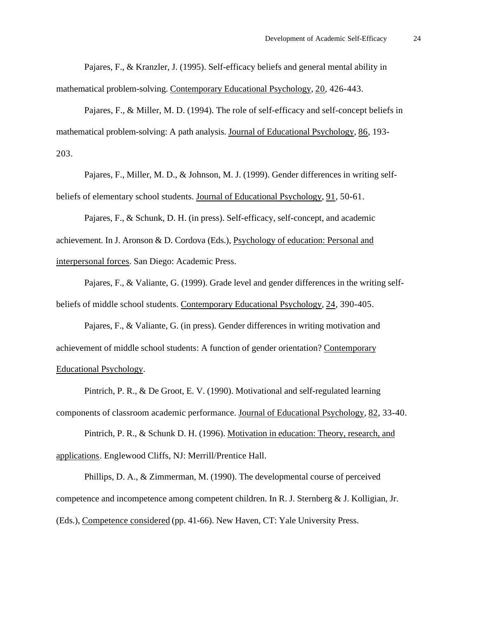Pajares, F., & Kranzler, J. (1995). Self-efficacy beliefs and general mental ability in mathematical problem-solving. Contemporary Educational Psychology, 20, 426-443.

Pajares, F., & Miller, M. D. (1994). The role of self-efficacy and self-concept beliefs in mathematical problem-solving: A path analysis. Journal of Educational Psychology, 86, 193- 203.

Pajares, F., Miller, M. D., & Johnson, M. J. (1999). Gender differences in writing selfbeliefs of elementary school students. Journal of Educational Psychology, 91, 50-61.

Pajares, F., & Schunk, D. H. (in press). Self-efficacy, self-concept, and academic achievement. In J. Aronson & D. Cordova (Eds.), Psychology of education: Personal and interpersonal forces. San Diego: Academic Press.

Pajares, F., & Valiante, G. (1999). Grade level and gender differences in the writing selfbeliefs of middle school students. Contemporary Educational Psychology, 24, 390-405.

Pajares, F., & Valiante, G. (in press). Gender differences in writing motivation and achievement of middle school students: A function of gender orientation? Contemporary Educational Psychology.

Pintrich, P. R., & De Groot, E. V. (1990). Motivational and self-regulated learning components of classroom academic performance. Journal of Educational Psychology, 82, 33-40.

Pintrich, P. R., & Schunk D. H. (1996). Motivation in education: Theory, research, and applications. Englewood Cliffs, NJ: Merrill/Prentice Hall.

Phillips, D. A., & Zimmerman, M. (1990). The developmental course of perceived competence and incompetence among competent children. In R. J. Sternberg & J. Kolligian, Jr. (Eds.), Competence considered (pp. 41-66). New Haven, CT: Yale University Press.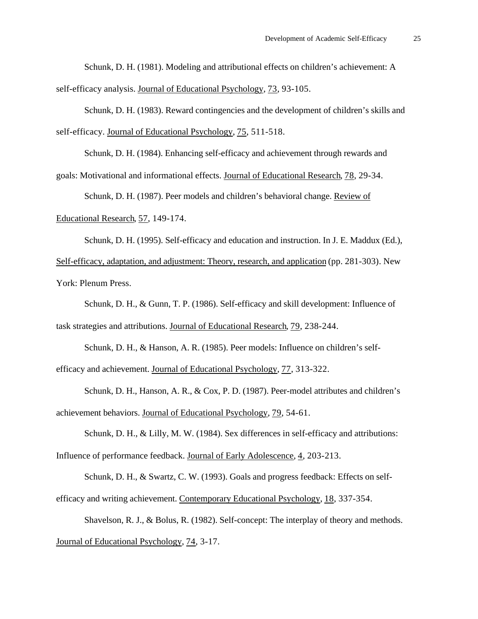Schunk, D. H. (1981). Modeling and attributional effects on children's achievement: A self-efficacy analysis. Journal of Educational Psychology, 73, 93-105.

Schunk, D. H. (1983). Reward contingencies and the development of children's skills and self-efficacy. Journal of Educational Psychology, 75, 511-518.

Schunk, D. H. (1984). Enhancing self-efficacy and achievement through rewards and

goals: Motivational and informational effects. Journal of Educational Research, 78, 29-34.

Schunk, D. H. (1987). Peer models and children's behavioral change. Review of

Educational Research, 57, 149-174.

Schunk, D. H. (1995). Self-efficacy and education and instruction. In J. E. Maddux (Ed.), Self-efficacy, adaptation, and adjustment: Theory, research, and application (pp. 281-303). New York: Plenum Press.

Schunk, D. H., & Gunn, T. P. (1986). Self-efficacy and skill development: Influence of task strategies and attributions. Journal of Educational Research, 79, 238-244.

Schunk, D. H., & Hanson, A. R. (1985). Peer models: Influence on children's selfefficacy and achievement. Journal of Educational Psychology, 77, 313-322.

Schunk, D. H., Hanson, A. R., & Cox, P. D. (1987). Peer-model attributes and children's achievement behaviors. Journal of Educational Psychology, 79, 54-61.

Schunk, D. H., & Lilly, M. W. (1984). Sex differences in self-efficacy and attributions: Influence of performance feedback. Journal of Early Adolescence, 4, 203-213.

Schunk, D. H., & Swartz, C. W. (1993). Goals and progress feedback: Effects on selfefficacy and writing achievement. Contemporary Educational Psychology, 18, 337-354.

Shavelson, R. J., & Bolus, R. (1982). Self-concept: The interplay of theory and methods. Journal of Educational Psychology, 74, 3-17.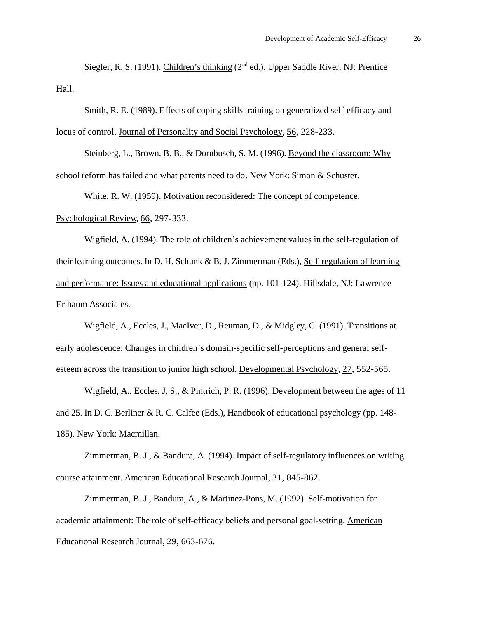Siegler, R. S. (1991). Children's thinking  $(2<sup>nd</sup> ed.)$ . Upper Saddle River, NJ: Prentice Hall.

Smith, R. E. (1989). Effects of coping skills training on generalized self-efficacy and locus of control. Journal of Personality and Social Psychology, 56, 228-233.

Steinberg, L., Brown, B. B., & Dornbusch, S. M. (1996). Beyond the classroom: Why school reform has failed and what parents need to do. New York: Simon & Schuster.

White, R. W. (1959). Motivation reconsidered: The concept of competence.

Psychological Review, 66, 297-333.

Wigfield, A. (1994). The role of children's achievement values in the self-regulation of their learning outcomes. In D. H. Schunk & B. J. Zimmerman (Eds.), Self-regulation of learning and performance: Issues and educational applications (pp. 101-124). Hillsdale, NJ: Lawrence Erlbaum Associates.

Wigfield, A., Eccles, J., MacIver, D., Reuman, D., & Midgley, C. (1991). Transitions at early adolescence: Changes in children's domain-specific self-perceptions and general selfesteem across the transition to junior high school. Developmental Psychology, 27, 552-565.

Wigfield, A., Eccles, J. S., & Pintrich, P. R. (1996). Development between the ages of 11 and 25. In D. C. Berliner & R. C. Calfee (Eds.), Handbook of educational psychology (pp. 148- 185). New York: Macmillan.

Zimmerman, B. J., & Bandura, A. (1994). Impact of self-regulatory influences on writing course attainment. American Educational Research Journal, 31, 845-862.

Zimmerman, B. J., Bandura, A., & Martinez-Pons, M. (1992). Self-motivation for academic attainment: The role of self-efficacy beliefs and personal goal-setting. American Educational Research Journal, 29, 663-676.